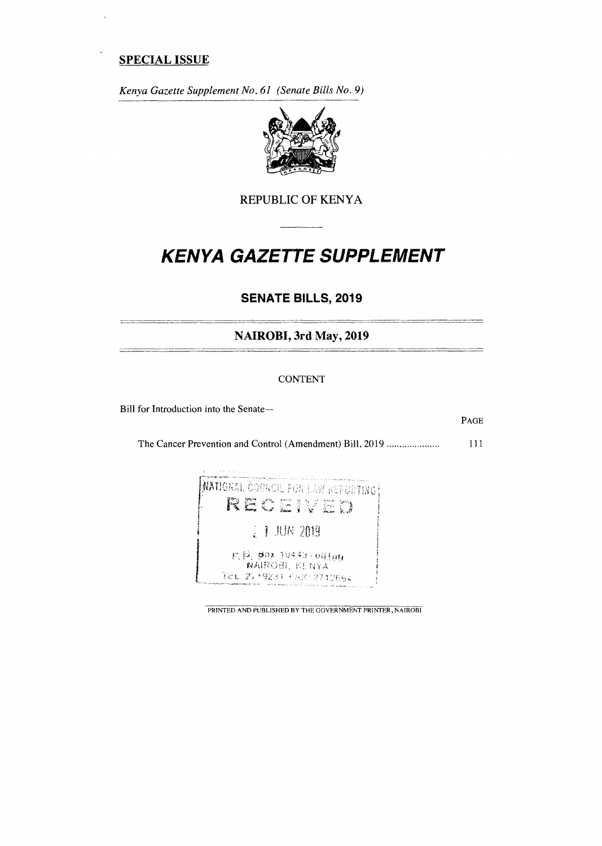# **SPECIAL ISSUE**

*Kenya Gazette Supplement No. 61 (Senate Bills No. 9)* 



REPUBLIC OF KENYA

# **KENYA GAZETTE SUPPLEMENT**

# **SENATE BILLS, 2019**

**NAIROBI, 3rd May, 2019** 

## **CONTENT**

Bill for Introduction into the Senate—

The Cancer Prevention and Control (Amendment) Bill, 2019 111

PAGE



PRINTED AND PUBLISHED BY THE GOVERNMENT PRINTER, NAIROBI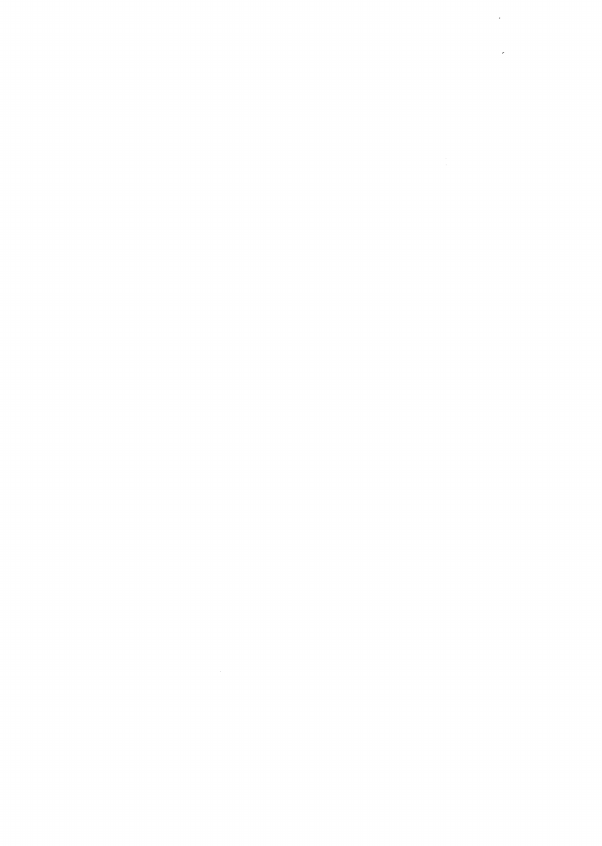$\label{eq:2.1} \frac{1}{\sqrt{2}}\int_{\mathbb{R}^3}\frac{1}{\sqrt{2}}\left(\frac{1}{\sqrt{2}}\right)^2\frac{1}{\sqrt{2}}\left(\frac{1}{\sqrt{2}}\right)^2\frac{1}{\sqrt{2}}\left(\frac{1}{\sqrt{2}}\right)^2\frac{1}{\sqrt{2}}\left(\frac{1}{\sqrt{2}}\right)^2.$  $\label{eq:2.1} \frac{1}{\sqrt{2}}\int_{0}^{\infty}\frac{1}{\sqrt{2\pi}}\left(\frac{1}{\sqrt{2\pi}}\right)^{2\alpha} \frac{1}{\sqrt{2\pi}}\int_{0}^{\infty}\frac{1}{\sqrt{2\pi}}\left(\frac{1}{\sqrt{2\pi}}\right)^{\alpha} \frac{1}{\sqrt{2\pi}}\int_{0}^{\infty}\frac{1}{\sqrt{2\pi}}\frac{1}{\sqrt{2\pi}}\frac{1}{\sqrt{2\pi}}\frac{1}{\sqrt{2\pi}}\frac{1}{\sqrt{2\pi}}\frac{1}{\sqrt{2\pi}}\frac{1}{\sqrt{2\pi}}$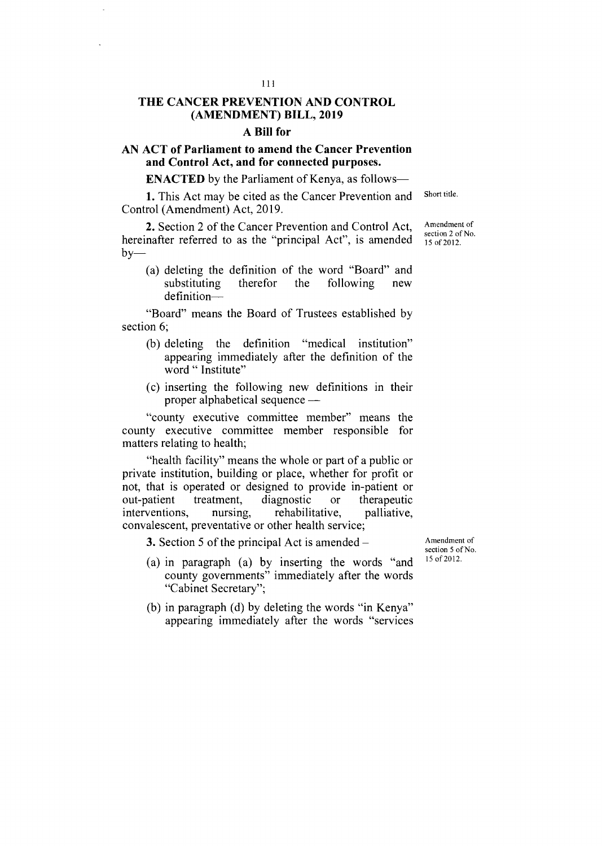## **THE CANCER PREVENTION AND CONTROL (AMENDMENT) BILL, 2019**

## **A Bill for**

## **AN ACT of Parliament to amend the Cancer Prevention and Control Act, and for connected purposes.**

**ENACTED** by the Parliament of Kenya, as follows-

**1.** This Act may be cited as the Cancer Prevention and Control (Amendment) Act, 2019.

**2.** Section 2 of the Cancer Prevention and Control Act, hereinafter referred to as the "principal Act", is amended  $by-$ 

(a) deleting the definition of the word "Board" and substituting therefor the following new definition—

"Board" means the Board of Trustees established by section 6;

- (b) deleting the definition "medical institution" appearing immediately after the definition of the word "Institute"
- (c) inserting the following new definitions in their proper alphabetical sequence —

"county executive committee member" means the county executive committee member responsible for matters relating to health;

"health facility" means the whole or part of a public or private institution, building or place, whether for profit or not, that is operated or designed to provide in-patient or out-patient treatment, diagnostic or therapeutic out-patient treatment, diagnostic or therapeutic<br>interventions, nursing, rehabilitative, palliative, rehabilitative, convalescent, preventative or other health service;

**3.** Section 5 of the principal Act is amended —

- (a) in paragraph (a) by inserting the words "and county governments" immediately after the words "Cabinet Secretary";
- (b) in paragraph (d) by deleting the words "in Kenya" appearing immediately after the words "services

Amendment of section 5 of No. 15 of 2012.

Amendment of section 2 of No. 15 of 2012.

Short title.

111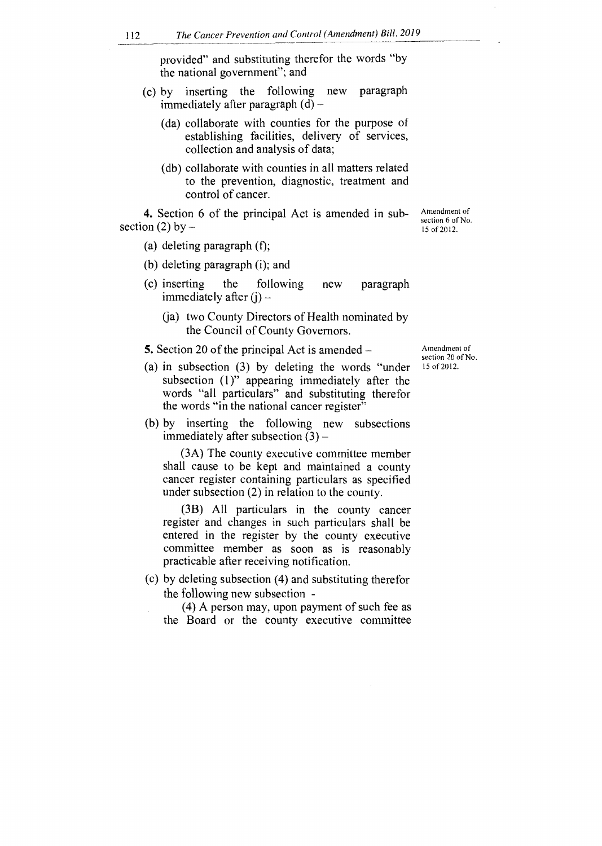provided" and substituting therefor the words "by the national government"; and

- (c) by inserting the following new paragraph immediately after paragraph  $(d)$  –
	- (da) collaborate with counties for the purpose of establishing facilities, delivery of services, collection and analysis of data;
	- (db) collaborate with counties in all matters related to the prevention, diagnostic, treatment and control of cancer.

**4.** Section 6 of the principal Act is amended in subsection  $(2)$  by  $-$ 

- (a) deleting paragraph (f);
- (b) deleting paragraph (i); and
- (c) inserting the following new paragraph immediately after  $(i)$  –
	- (ja) two County Directors of Health nominated by the Council of County Governors.

**5.** Section 20 of the principal Act is amended —

- (a) in subsection (3) by deleting the words "under subsection (1)" appearing immediately after the words "all particulars" and substituting therefor the words "in the national cancer register"
- (b) by inserting the following new subsections immediately after subsection  $(3)$  –

(3A) The county executive committee member shall cause to be kept and maintained a county cancer register containing particulars as specified under subsection (2) in relation to the county.

(3B) All particulars in the county cancer register and changes in such particulars shall be entered in the register by the county executive committee member as soon as is reasonably practicable after receiving notification.

(c) by deleting subsection (4) and substituting therefor the following new subsection -

(4) A person may, upon payment of such fee as the Board or the county executive committee Amendment of section 20 of No. 15 of 2012.

Amendment of section 6 of No. 15 of 2012.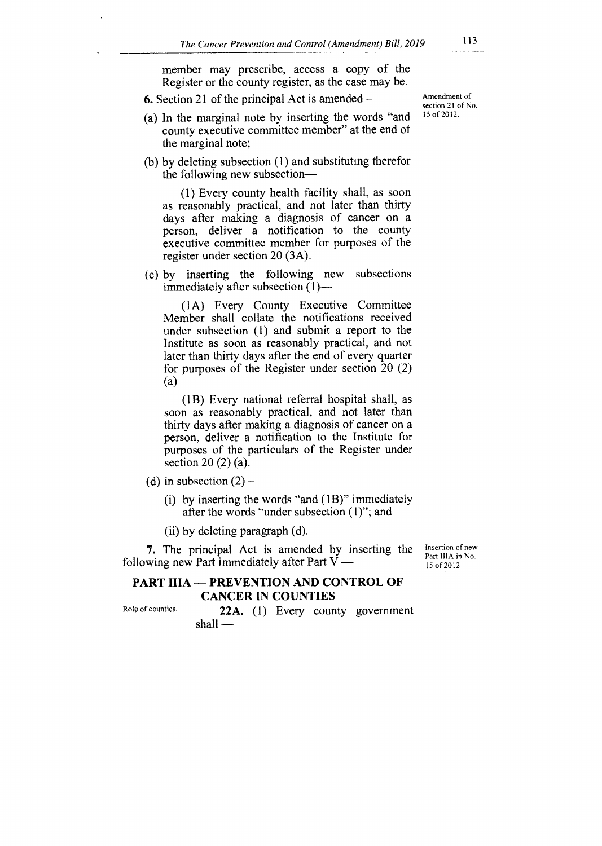member may prescribe, access a copy of the Register or the county register, as the case may be.

6. Section 21 of the principal Act is amended —

(a) In the marginal note by inserting the words "and county executive committee member" at the end of the marginal note;

(b) by deleting subsection (1) and substituting therefor the following new subsection—

(1) Every county health facility shall, as soon as reasonably practical, and not later than thirty days after making a diagnosis of cancer on a person, deliver a notification to the county executive committee member for purposes of the register under section 20 (3A).

(c) by inserting the following new subsections immediately after subsection (1)—

(1A) Every County Executive Committee Member shall collate the notifications received under subsection (1) and submit a report to the Institute as soon as reasonably practical, and not later than thirty days after the end of every quarter for purposes of the Register under section 20 (2) (a)

(1B) Every national referral hospital shall, as soon as reasonably practical, and not later than thirty days after making a diagnosis of cancer on a person, deliver a notification to the Institute for purposes of the particulars of the Register under section 20 (2) (a).

- (d) in subsection  $(2)$ 
	- (i) by inserting the words "and (1B)" immediately after the words "under subsection (1)"; and
	- (ii) by deleting paragraph (d).

7. The principal Act is amended by inserting the following new Part immediately after Part  $V$  —

Insertion of new Part IIIA in No. 15 of 2012

## PART IIIA — PREVENTION AND CONTROL OF CANCER IN COUNTIES

Role of counties. 22A. (1) Every county government shall —

Amendment of section 21 of No. 15 of 2012.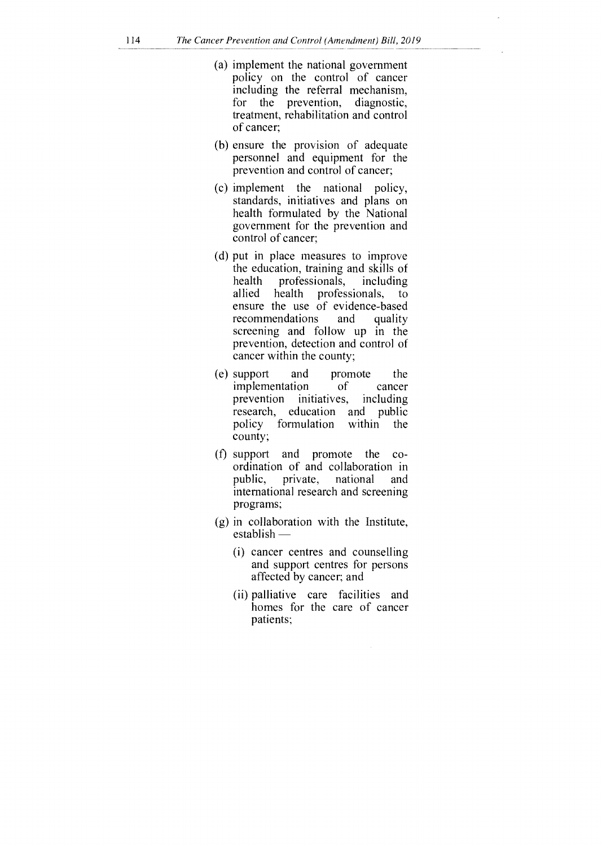- (a) implement the national government policy on the control of cancer including the referral mechanism, for the prevention, diagnostic, treatment, rehabilitation and control of cancer;
- (b) ensure the provision of adequate personnel and equipment for the prevention and control of cancer;
- (c) implement the national policy, standards, initiatives and plans on health formulated by the National government for the prevention and control of cancer;
- (d) put in place measures to improve the education, training and skills of health professionals, including<br>allied health professionals, to health professionals, to ensure the use of evidence-based recommendations and quality screening and follow up in the prevention, detection and control of cancer within the county;
- (e) support and promote the implementation of cancer<br>prevention initiatives, including prevention initiatives, research, education and public<br>policy formulation within the policy formulation county;
- $(f)$  support and promote the coordination of and collaboration in public, private, national and international research and screening programs;
- (g) in collaboration with the Institute, establish
	- (i) cancer centres and counselling and support centres for persons affected by cancer; and
	- (ii) palliative care facilities and homes for the care of cancer patients;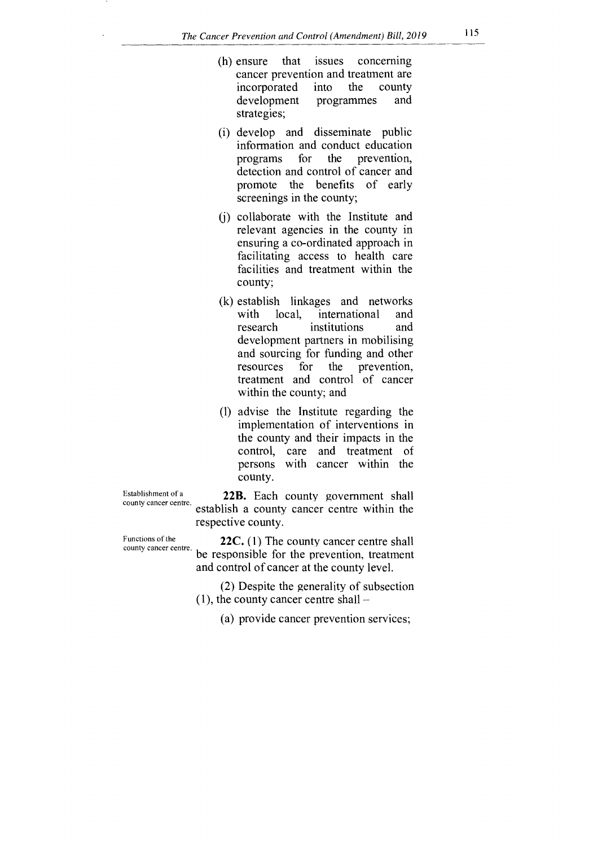- (h) ensure that issues concerning cancer prevention and treatment are incorporated into the county development programmes and strategies;
- (i) develop and disseminate public information and conduct education programs for the prevention, detection and control of cancer and promote the benefits of early screenings in the county;
- (j) collaborate with the Institute and relevant agencies in the county in ensuring a co-ordinated approach in facilitating access to health care facilities and treatment within the county;
- (k) establish linkages and networks with local, international and research institutions and development partners in mobilising and sourcing for funding and other resources for the prevention, treatment and control of cancer within the county; and
- advise the Institute regarding the implementation of interventions in the county and their impacts in the control, care and treatment of persons with cancer within the county.

22B. Each county government shall establish a county cancer centre within the respective county.

**22C. (1)** The county cancer centre shall be responsible for the prevention, treatment and control of cancer at the county level.

(2) Despite the generality of subsection  $(1)$ , the county cancer centre shall –

(a) provide cancer prevention services;

Establishment of a county cancer centre.

Functions of the county cancer centre.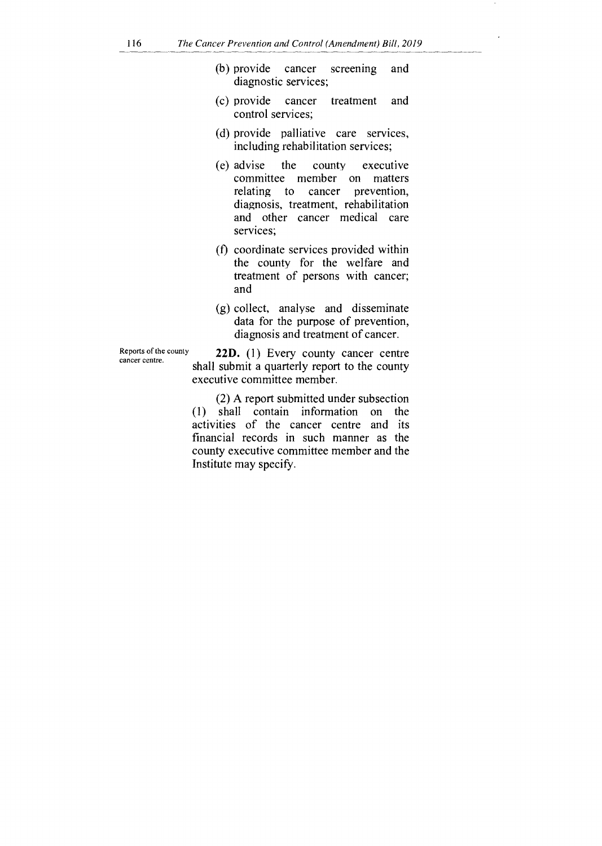- (b) provide cancer screening and diagnostic services;
- (c) provide cancer treatment and control services;
- (d) provide palliative care services, including rehabilitation services;
- (e) advise the county executive committee member on matters relating to cancer prevention, diagnosis, treatment, rehabilitation and other cancer medical care services;
- (f) coordinate services provided within the county for the welfare and treatment of persons with cancer; and
- (g) collect, analyse and disseminate data for the purpose of prevention, diagnosis and treatment of cancer.

Reports of the county  $22D$ . (1) Every county cancer centre cancer centre shall submit a quarterly report to the county executive committee member.

> (2) A report submitted under subsection (1) shall contain information on the activities of the cancer centre and its financial records in such manner as the county executive committee member and the Institute may specify.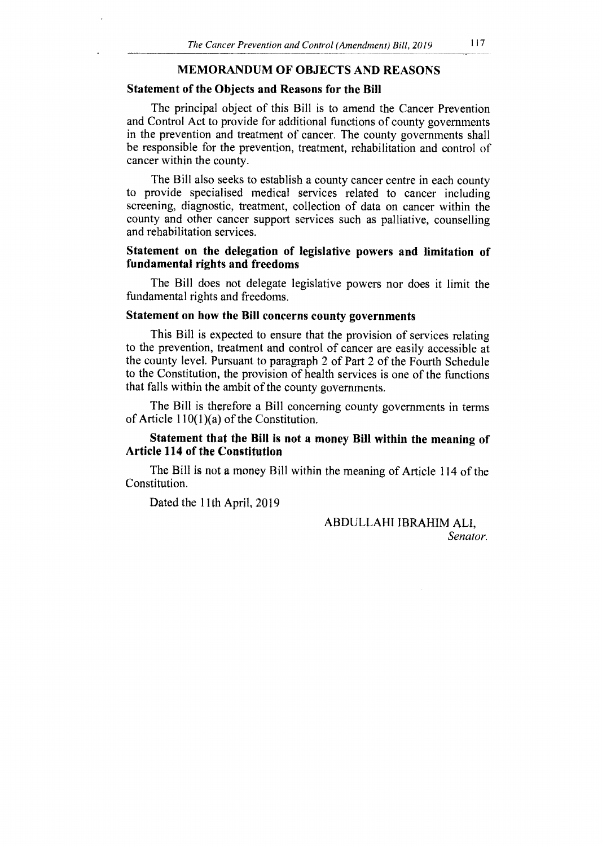## **MEMORANDUM OF OBJECTS AND REASONS**

#### **Statement of the Objects and Reasons for the Bill**

The principal object of this Bill is to amend the Cancer Prevention and Control Act to provide for additional functions of county governments in the prevention and treatment of cancer. The county governments shall be responsible for the prevention, treatment, rehabilitation and control of cancer within the county.

The Bill also seeks to establish a county cancer centre in each county to provide specialised medical services related to cancer including screening, diagnostic, treatment, collection of data on cancer within the county and other cancer support services such as palliative, counselling and rehabilitation services.

## **Statement on the delegation of legislative powers and limitation of fundamental rights and freedoms**

The Bill does not delegate legislative powers nor does it limit the fundamental rights and freedoms.

#### **Statement on how the Bill concerns county governments**

This Bill is expected to ensure that the provision of services relating to the prevention, treatment and control of cancer are easily accessible at the county level. Pursuant to paragraph 2 of Part 2 of the Fourth Schedule to the Constitution, the provision of health services is one of the functions that falls within the ambit of the county governments.

The Bill is therefore a Bill concerning county governments in terms of Article 110(1)(a) of the Constitution.

## **Statement that the Bill is not a money Bill within the meaning of Article 114 of the Constitution**

The Bill is not a money Bill within the meaning of Article 114 of the Constitution.

Dated the 11th April, 2019

## ABDULLAHI IBRAHIM ALI, *Senator.*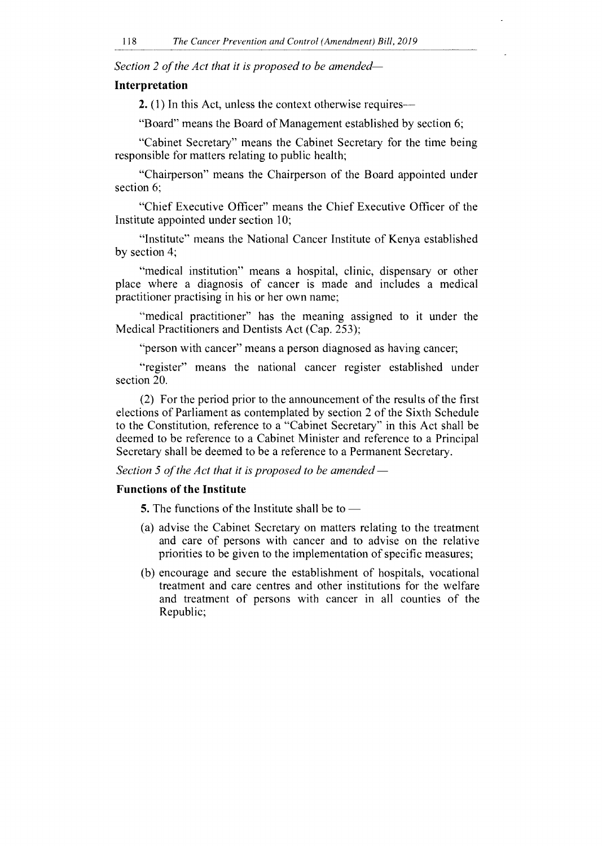*Section 2 of the Act that it is proposed to be amended—* 

#### **Interpretation**

**2.** (1) In this Act, unless the context otherwise requires—

"Board" means the Board of Management established by section 6;

"Cabinet Secretary" means the Cabinet Secretary for the time being responsible for matters relating to public health;

"Chairperson" means the Chairperson of the Board appointed under section 6;

"Chief Executive Officer" means the Chief Executive Officer of the Institute appointed under section 10;

"Institute" means the National Cancer Institute of Kenya established by section 4;

"medical institution" means a hospital, clinic, dispensary or other place where a diagnosis of cancer is made and includes a medical practitioner practising in his or her own name;

"medical practitioner" has the meaning assigned to it under the Medical Practitioners and Dentists Act (Cap. 253);

"person with cancer" means a person diagnosed as having cancer;

"register" means the national cancer register established under section 20.

(2) For the period prior to the announcement of the results of the first elections of Parliament as contemplated by section 2 of the Sixth Schedule to the Constitution, reference to a "Cabinet Secretary" in this Act shall be deemed to be reference to a Cabinet Minister and reference to a Principal Secretary shall be deemed to be a reference to a Permanent Secretary.

*Section 5 of the Act that it is proposed to be amended* **—**

#### **Functions of the Institute**

**5.** The functions of the Institute shall be to

- (a) advise the Cabinet Secretary on matters relating to the treatment and care of persons with cancer and to advise on the relative priorities to be given to the implementation of specific measures;
- (b) encourage and secure the establishment of hospitals, vocational treatment and care centres and other institutions for the welfare and treatment of persons with cancer in all counties of the Republic;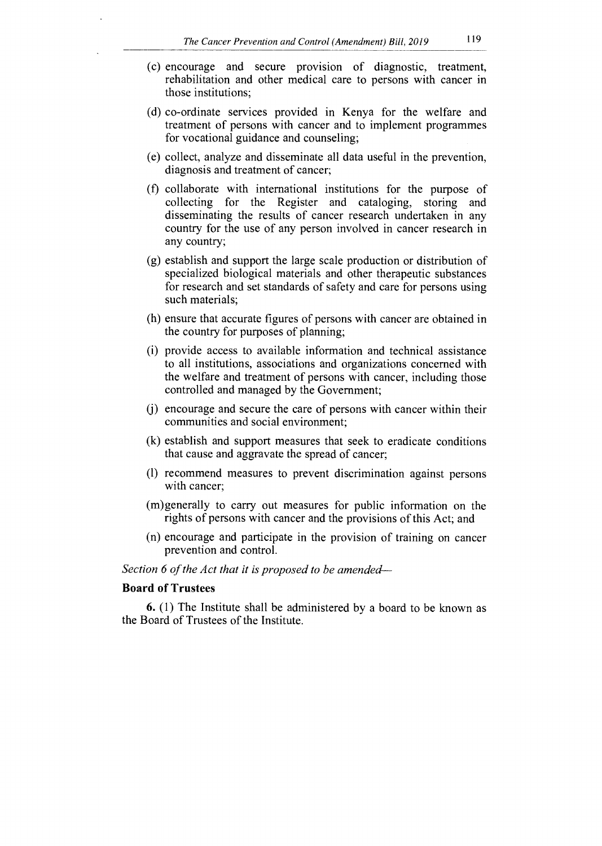- (c) encourage and secure provision of diagnostic, treatment, rehabilitation and other medical care to persons with cancer in those institutions;
- (d) co-ordinate services provided in Kenya for the welfare and treatment of persons with cancer and to implement programmes for vocational guidance and counseling;
- (e) collect, analyze and disseminate all data useful in the prevention, diagnosis and treatment of cancer;
- (f) collaborate with international institutions for the purpose of collecting for the Register and cataloging, storing and disseminating the results of cancer research undertaken in any country for the use of any person involved in cancer research in any country;
- (g) establish and support the large scale production or distribution of specialized biological materials and other therapeutic substances for research and set standards of safety and care for persons using such materials;
- (h) ensure that accurate figures of persons with cancer are obtained in the country for purposes of planning;
- (i) provide access to available information and technical assistance to all institutions, associations and organizations concerned with the welfare and treatment of persons with cancer, including those controlled and managed by the Government;
- (j) encourage and secure the care of persons with cancer within their communities and social environment;
- (k) establish and support measures that seek to eradicate conditions that cause and aggravate the spread of cancer;
- (I) recommend measures to prevent discrimination against persons with cancer;
- (m)generally to carry out measures for public information on the rights of persons with cancer and the provisions of this Act; and
- (n) encourage and participate in the provision of training on cancer prevention and control.

*Section 6 of the Act that it is proposed to be amended—*

## **Board of Trustees**

**6.** (1) The Institute shall be administered by a board to be known as the Board of Trustees of the Institute.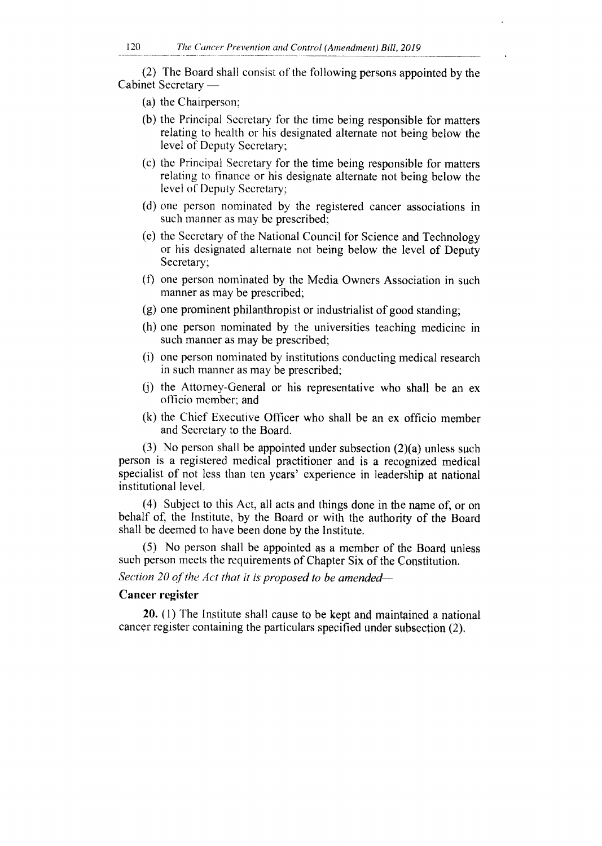(2) The Board shall consist of the following persons appointed by the Cabinet Secretary —

- (a) the Chairperson;
- (b) the Principal Secretary for the time being responsible for matters relating to health or his designated alternate not being below the level of Deputy Secretary;
- (c) the Principal Secretary for the time being responsible for matters relating to finance or his designate alternate not being below the level of Deputy Secretary;
- (d) one person nominated by the registered cancer associations in such manner as may be prescribed;
- (e) the Secretary of the National Council for Science and Technology or his designated alternate not being below the level of Deputy Secretary;
- (f) one person nominated by the Media Owners Association in such manner as may be prescribed;
- (g) one prominent philanthropist or industrialist of good standing;
- (h) one person nominated by the universities teaching medicine in such manner as may be prescribed;
- (i) one person nominated by institutions conducting medical research in such manner as may be prescribed;
- (j) the Attorney-General or his representative who shall be an ex officio member; and
- (k) the Chief Executive Officer who shall be an ex officio member and Secretary to the Board.

(3) No person shall be appointed under subsection  $(2)(a)$  unless such person is a registered medical practitioner and is a recognized medical specialist of not less than ten years' experience in leadership at national institutional level.

(4) Subject to this Act, all acts and things done in the name of, or on behalf of, the Institute, by the Board or with the authority of the Board shall be deemed to have been done by the Institute.

(5) No person shall be appointed as a member of the Board unless such person meets the requirements of Chapter Six of the Constitution.

*Section 20 of the Act that it is proposed to be amended—*

#### Cancer register

20. (1) The Institute shall cause to be kept and maintained a national cancer register containing the particulars specified under subsection (2),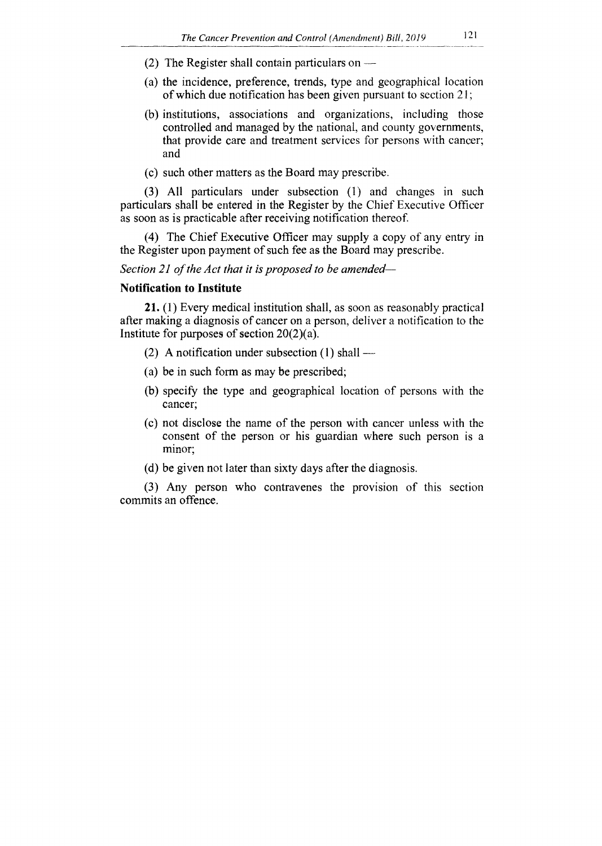- (2) The Register shall contain particulars on —
- (a) the incidence, preference, trends, type and geographical location of which due notification has been given pursuant to section 21;
- (b) institutions, associations and organizations, including those controlled and managed by the national, and county governments, that provide care and treatment services for persons with cancer; and
- (c) such other matters as the Board may prescribe.

(3) All particulars under subsection (1) and changes in such particulars shall be entered in the Register by the Chief Executive Officer as soon as is practicable after receiving notification thereof.

(4) The Chief Executive Officer may supply a copy of any entry in the Register upon payment of such fee as the Board may prescribe.

*Section 21 of the Act that it is proposed to be amended—*

## **Notification to Institute**

**21.** (1) Every medical institution shall, as soon as reasonably practical after making a diagnosis of cancer on a person, deliver a notification to the Institute for purposes of section  $20(2)(a)$ .

- (2) A notification under subsection  $(1)$  shall —
- (a) be in such form as may be prescribed;
- (b) specify the type and geographical location of persons with the cancer;
- (c) not disclose the name of the person with cancer unless with the consent of the person or his guardian where such person is a minor;
- (d) be given not later than sixty days after the diagnosis.

(3) Any person who contravenes the provision of this section commits an offence.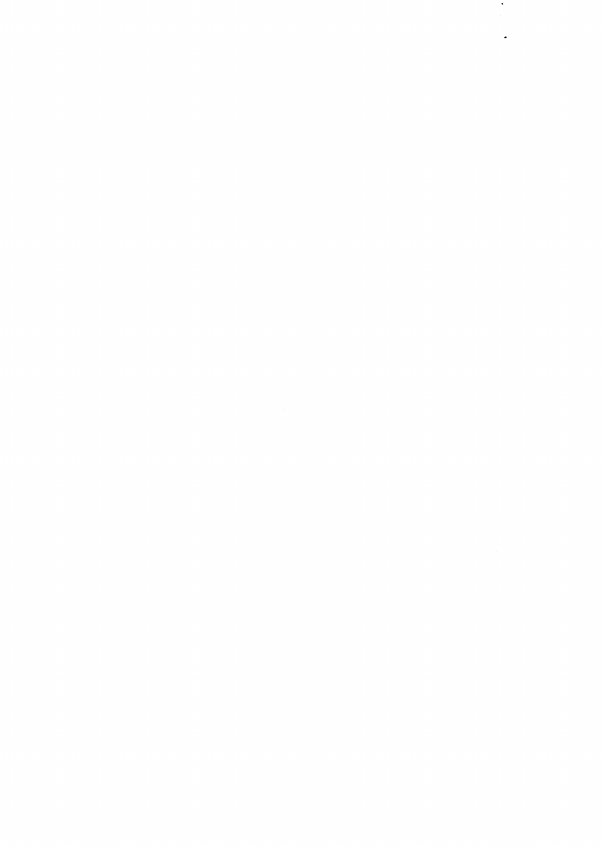$\frac{1}{\sqrt{2}}$  $\mathcal{L}(\mathcal{L})$  .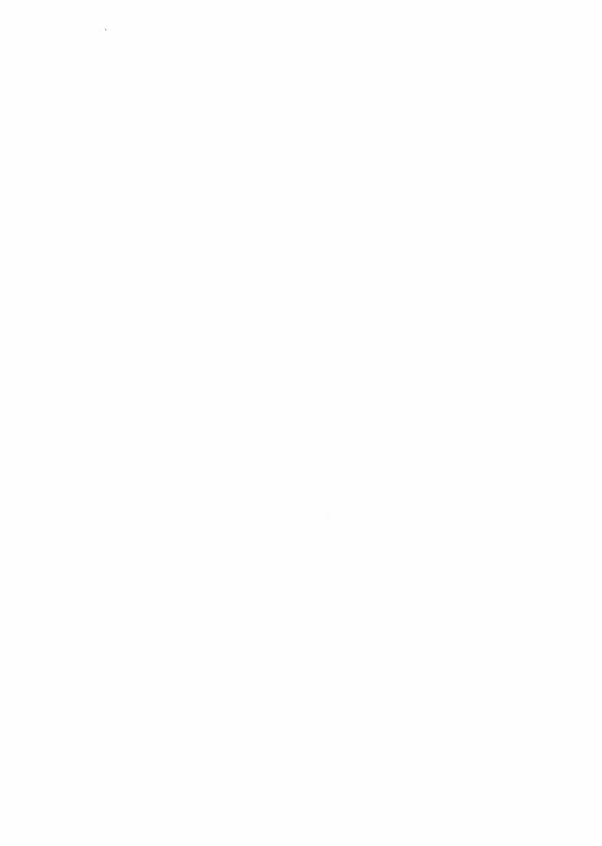$\label{eq:2.1} \frac{1}{\sqrt{2\pi}}\int_{\mathbb{R}^3}\frac{1}{\sqrt{2\pi}}\left(\frac{1}{\sqrt{2\pi}}\right)^2\frac{1}{\sqrt{2\pi}}\int_{\mathbb{R}^3}\frac{1}{\sqrt{2\pi}}\left(\frac{1}{\sqrt{2\pi}}\right)^2\frac{1}{\sqrt{2\pi}}\frac{1}{\sqrt{2\pi}}\int_{\mathbb{R}^3}\frac{1}{\sqrt{2\pi}}\frac{1}{\sqrt{2\pi}}\frac{1}{\sqrt{2\pi}}\frac{1}{\sqrt{2\pi}}\frac{1}{\sqrt{2\pi}}\frac{1}{\sqrt{2\$